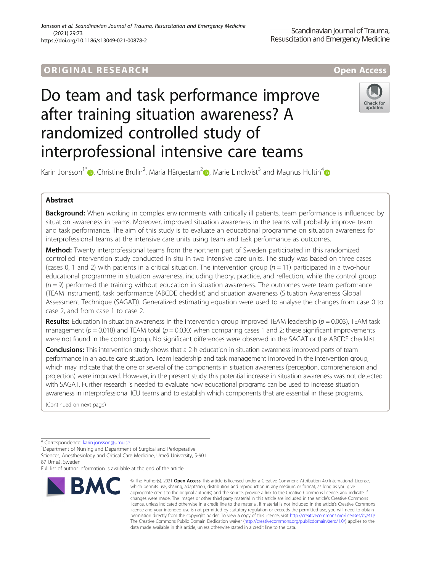## ORIGINA L R E S EA RCH Open Access

# Do team and task performance improve after training situation awareness? A randomized controlled study of interprofessional intensive care teams



Karin Jonsson<sup>1\*</sup> (D, Christine Brulin<sup>2</sup>, Maria Härgestam<sup>2</sup> (D, Marie Lindkvist<sup>3</sup> and Magnus Hultin<sup>4</sup>

### Abstract

Background: When working in complex environments with critically ill patients, team performance is influenced by situation awareness in teams. Moreover, improved situation awareness in the teams will probably improve team and task performance. The aim of this study is to evaluate an educational programme on situation awareness for interprofessional teams at the intensive care units using team and task performance as outcomes.

Method: Twenty interprofessional teams from the northern part of Sweden participated in this randomized controlled intervention study conducted in situ in two intensive care units. The study was based on three cases (cases 0, 1 and 2) with patients in a critical situation. The intervention group ( $n = 11$ ) participated in a two-hour educational programme in situation awareness, including theory, practice, and reflection, while the control group  $(n=9)$  performed the training without education in situation awareness. The outcomes were team performance (TEAM instrument), task performance (ABCDE checklist) and situation awareness (Situation Awareness Global Assessment Technique (SAGAT)). Generalized estimating equation were used to analyse the changes from case 0 to case 2, and from case 1 to case 2.

**Results:** Education in situation awareness in the intervention group improved TEAM leadership ( $p = 0.003$ ), TEAM task management ( $p = 0.018$ ) and TEAM total ( $p = 0.030$ ) when comparing cases 1 and 2; these significant improvements were not found in the control group. No significant differences were observed in the SAGAT or the ABCDE checklist.

**Conclusions:** This intervention study shows that a 2-h education in situation awareness improved parts of team performance in an acute care situation. Team leadership and task management improved in the intervention group, which may indicate that the one or several of the components in situation awareness (perception, comprehension and projection) were improved. However, in the present study this potential increase in situation awareness was not detected with SAGAT. Further research is needed to evaluate how educational programs can be used to increase situation awareness in interprofessional ICU teams and to establish which components that are essential in these programs.

(Continued on next page)

87 Umeå, Sweden

Full list of author information is available at the end of the article



<sup>©</sup> The Author(s), 2021 **Open Access** This article is licensed under a Creative Commons Attribution 4.0 International License, which permits use, sharing, adaptation, distribution and reproduction in any medium or format, as long as you give appropriate credit to the original author(s) and the source, provide a link to the Creative Commons licence, and indicate if changes were made. The images or other third party material in this article are included in the article's Creative Commons licence, unless indicated otherwise in a credit line to the material. If material is not included in the article's Creative Commons licence and your intended use is not permitted by statutory regulation or exceeds the permitted use, you will need to obtain permission directly from the copyright holder. To view a copy of this licence, visit [http://creativecommons.org/licenses/by/4.0/.](http://creativecommons.org/licenses/by/4.0/) The Creative Commons Public Domain Dedication waiver [\(http://creativecommons.org/publicdomain/zero/1.0/](http://creativecommons.org/publicdomain/zero/1.0/)) applies to the data made available in this article, unless otherwise stated in a credit line to the data.

<sup>\*</sup> Correspondence: [karin.jonsson@umu.se](mailto:karin.jonsson@umu.se) <sup>1</sup>

<sup>&</sup>lt;sup>1</sup>Department of Nursing and Department of Surgical and Perioperative Sciences, Anesthesiology and Critical Care Medicine, Umeå University, S-901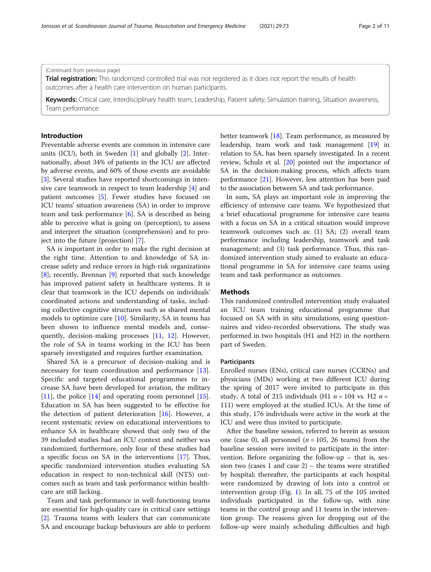Trial registration: This randomized controlled trial was not registered as it does not report the results of health outcomes after a health care intervention on human participants.

Keywords: Critical care, Interdisciplinary health team, Leadership, Patient safety, Simulation training, Situation awareness, Team performance

#### Introduction

Preventable adverse events are common in intensive care units (ICU), both in Sweden [\[1](#page-9-0)] and globally [[2\]](#page-9-0). Internationally, about 34% of patients in the ICU are affected by adverse events, and 60% of those events are avoidable [[3\]](#page-9-0). Several studies have reported shortcomings in intensive care teamwork in respect to team leadership [\[4](#page-9-0)] and patient outcomes [[5\]](#page-9-0). Fewer studies have focused on ICU teams' situation awareness (SA) in order to improve team and task performance [\[6](#page-9-0)]. SA is described as being able to perceive what is going on (perception), to assess and interpret the situation (comprehension) and to project into the future (projection) [[7\]](#page-9-0).

SA is important in order to make the right decision at the right time. Attention to and knowledge of SA increase safety and reduce errors in high-risk organizations [[8\]](#page-9-0); recently, Brennan [[9\]](#page-9-0) reported that such knowledge has improved patient safety in healthcare systems. It is clear that teamwork in the ICU depends on individuals' coordinated actions and understanding of tasks, including collective cognitive structures such as shared mental models to optimize care [[10\]](#page-9-0). Similarity, SA in teams has been shown to influence mental models and, consequently, decision-making processes [\[11,](#page-9-0) [12](#page-9-0)]. However, the role of SA in teams working in the ICU has been sparsely investigated and requires further examination.

Shared SA is a precursor of decision-making and is necessary for team coordination and performance [\[13](#page-9-0)]. Specific and targeted educational programmes to increase SA have been developed for aviation, the military [[11\]](#page-9-0), the police [[14\]](#page-9-0) and operating room personnel [\[15](#page-9-0)]. Education in SA has been suggested to be effective for the detection of patient deterioration [\[16\]](#page-9-0). However, a recent systematic review on educational interventions to enhance SA in healthcare showed that only two of the 39 included studies had an ICU context and neither was randomized; furthermore, only four of these studies had a specific focus on SA in the interventions [[17\]](#page-9-0). Thus, specific randomized intervention studies evaluating SA education in respect to non-technical skill (NTS) outcomes such as team and task performance within healthcare are still lacking.

Team and task performance in well-functioning teams are essential for high-quality care in critical care settings [[2\]](#page-9-0). Trauma teams with leaders that can communicate SA and encourage backup behaviours are able to perform better teamwork [\[18\]](#page-9-0). Team performance, as measured by leadership, team work and task management [[19](#page-9-0)] in relation to SA, has been sparsely investigated. In a recent review, Schulz et al. [\[20\]](#page-9-0) pointed out the importance of SA in the decision-making process, which affects team performance [[21](#page-9-0)]. However, less attention has been paid to the association between SA and task performance.

In sum, SA plays an important role in improving the efficiency of intensive care teams. We hypothesized that a brief educational programme for intensive care teams with a focus on SA in a critical situation would improve teamwork outcomes such as: (1) SA; (2) overall team performance including leadership, teamwork and task management; and (3) task performance. Thus, this randomized intervention study aimed to evaluate an educational programme in SA for intensive care teams using team and task performance as outcomes.

#### **Methods**

This randomized controlled intervention study evaluated an ICU team training educational programme that focused on SA with in situ simulations, using questionnaires and video-recorded observations. The study was performed in two hospitals (H1 and H2) in the northern part of Sweden.

#### **Participants**

Enrolled nurses (ENs), critical care nurses (CCRNs) and physicians (MDs) working at two different ICU during the spring of 2017 were invited to participate in this study. A total of 215 individuals (H1  $n = 104$  vs. H2  $n =$ 111) were employed at the studied ICUs. At the time of this study, 176 individuals were active in the work at the ICU and were thus invited to participate.

After the baseline session, referred to herein as session one (case 0), all personnel ( $n = 105$ , 26 teams) from the baseline session were invited to participate in the intervention. Before organizing the follow-up – that is, session two (cases 1 and case  $2$ ) – the teams were stratified by hospital; thereafter, the participants at each hospital were randomized by drawing of lots into a control or intervention group (Fig. [1\)](#page-2-0). In all, 75 of the 105 invited individuals participated in the follow-up, with nine teams in the control group and 11 teams in the intervention group. The reasons given for dropping out of the follow-up were mainly scheduling difficulties and high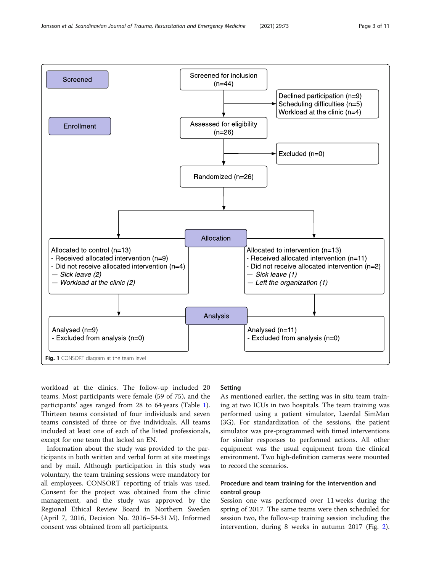<span id="page-2-0"></span>

workload at the clinics. The follow-up included 20 teams. Most participants were female (59 of 75), and the participants' ages ranged from 28 to 64 years (Table [1](#page-3-0)). Thirteen teams consisted of four individuals and seven teams consisted of three or five individuals. All teams included at least one of each of the listed professionals, except for one team that lacked an EN.

Information about the study was provided to the participants in both written and verbal form at site meetings and by mail. Although participation in this study was voluntary, the team training sessions were mandatory for all employees. CONSORT reporting of trials was used. Consent for the project was obtained from the clinic management, and the study was approved by the Regional Ethical Review Board in Northern Sweden (April 7, 2016, Decision No. 2016–54-31 M). Informed consent was obtained from all participants.

#### Setting

As mentioned earlier, the setting was in situ team training at two ICUs in two hospitals. The team training was performed using a patient simulator, Laerdal SimMan (3G). For standardization of the sessions, the patient simulator was pre-programmed with timed interventions for similar responses to performed actions. All other equipment was the usual equipment from the clinical environment. Two high-definition cameras were mounted to record the scenarios.

#### Procedure and team training for the intervention and control group

Session one was performed over 11 weeks during the spring of 2017. The same teams were then scheduled for session two, the follow-up training session including the intervention, during 8 weeks in autumn 2017 (Fig. [2](#page-3-0)).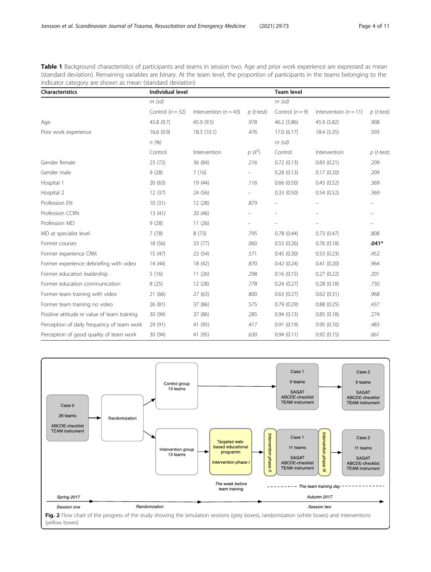<span id="page-3-0"></span>Table 1 Background characteristics of participants and teams in session two. Age and prior work experience are expressed as mean (standard deviation). Remaining variables are binary. At the team level, the proportion of participants in the teams belonging to the indicator category are shown as mean (standard deviation)

| <b>Characteristics</b>                      | <b>Individual level</b> |                           |              | <b>Team level</b>        |                         |              |
|---------------------------------------------|-------------------------|---------------------------|--------------|--------------------------|-------------------------|--------------|
|                                             | $m$ (sd)                |                           |              | $m$ (sd)                 |                         |              |
|                                             | Control $(n = 32)$      | Intervention ( $n = 43$ ) | $p$ (t-test) | Control $(n = 9)$        | Intervention $(n = 11)$ | $p$ (t-test) |
| Age                                         | 45.8 (9.7)              | 45.9(9.5)                 | .978         | 46.2 (5.86)              | 45.9 (5.82)             | .908         |
| Prior work experience                       | 16.6(9.9)               | 18.3(10.1)                | .476         | 17.0(6.17)               | 18.4 (5.35)             | .593         |
|                                             | n(%)                    |                           |              | $m$ (sd)                 |                         |              |
|                                             | Control                 | Intervention              | $p(X^2)$     | Control                  | Intervention            | $p$ (t-test) |
| Gender female                               | 23 (72)                 | 36 (84)                   | .216         | 0.72(0.13)               | 0.83(0.21)              | .209         |
| Gender male                                 | 9(28)                   | 7(16)                     |              | 0.28(0.13)               | 0.17(0.20)              | .209         |
| Hospital 1                                  | 20(63)                  | 19 (44)                   | .116         | 0.66(0.50)               | 0.45(0.52)              | .369         |
| Hospital 2                                  | 12(37)                  | 24 (56)                   |              | 0.33(0.50)               | 0.54(0.52)              | .369         |
| Profession EN                               | 10(31)                  | 12(28)                    | .879         | $\overline{\phantom{0}}$ | $\qquad \qquad -$       |              |
| Profession CCRN                             | 13(41)                  | 20(46)                    |              |                          |                         |              |
| Profession MD                               | 9(28)                   | 11(26)                    |              |                          |                         |              |
| MD at specialist level                      | 7(78)                   | 8(73)                     | .795         | 0.78(0.44)               | 0.73(0.47)              | .808         |
| Former courses                              | 18 (56)                 | 33 (77)                   | .060         | 0.55(0.26)               | 0.76(0.18)              | $.041*$      |
| Former experience CRM                       | 15(47)                  | 23 (54)                   | .571         | 0.45(0.30)               | 0.53(0.23)              | .452         |
| Former experience debriefing with video     | 14(44)                  | 18 (42)                   | .870         | 0.42(0.24)               | 0.41(0.20)              | .964         |
| Former education leadership                 | 5(16)                   | 11(26)                    | .298         | 0.16(0.15)               | 0.27(0.22)              | .201         |
| Former education communication              | 8(25)                   | 12(28)                    | .778         | 0.24(0.27)               | 0.28(0.18)              | .730         |
| Former team training with video             | 21 (66)                 | 27(63)                    | .800         | 0.63(0.27)               | 0.62(0.31)              | .968         |
| Former team training no video               | 26 (81)                 | 37 (86)                   | .575         | 0.79(0.29)               | 0.88(0.25)              | .437         |
| Positive attitude re value of team training | 30 (94)                 | 37 (86)                   | .285         | 0.94(0.13)               | 0.85(0.18)              | .274         |
| Perception of daily frequency of team work  | 29 (91)                 | 41 (95)                   | .417         | 0.91(0.19)               | 0.95(0.10)              | .483         |
| Perception of good quality of team work     | 30 (94)                 | 41 (95)                   | .630         | 0.94(0.11)               | 0.92(0.15)              | .661         |



(yellow boxes)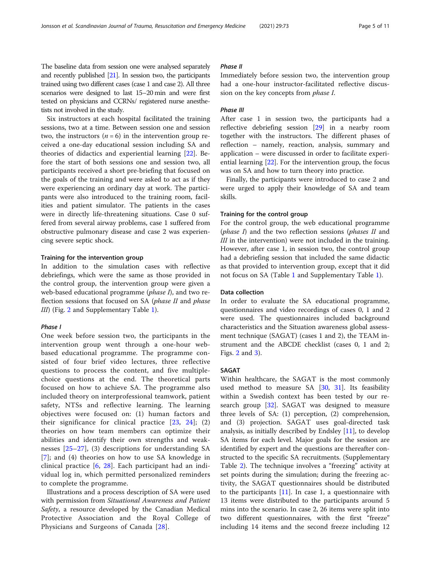The baseline data from session one were analysed separately and recently published [\[21](#page-9-0)]. In session two, the participants trained using two different cases (case 1 and case 2). All three scenarios were designed to last 15–20 min and were first tested on physicians and CCRNs/ registered nurse anesthetists not involved in the study.

Six instructors at each hospital facilitated the training sessions, two at a time. Between session one and session two, the instructors  $(n = 6)$  in the intervention group received a one-day educational session including SA and theories of didactics and experiential learning [\[22](#page-9-0)]. Before the start of both sessions one and session two, all participants received a short pre-briefing that focused on the goals of the training and were asked to act as if they were experiencing an ordinary day at work. The participants were also introduced to the training room, facilities and patient simulator. The patients in the cases were in directly life-threatening situations. Case 0 suffered from several airway problems, case 1 suffered from obstructive pulmonary disease and case 2 was experiencing severe septic shock.

#### Training for the intervention group

In addition to the simulation cases with reflective debriefings, which were the same as those provided in the control group, the intervention group were given a web-based educational programme (phase I), and two reflection sessions that focused on SA (*phase II* and *phase* III) (Fig. [2](#page-3-0) and Supplementary Table [1\)](#page-9-0).

#### Phase I

One week before session two, the participants in the intervention group went through a one-hour webbased educational programme. The programme consisted of four brief video lectures, three reflective questions to process the content, and five multiplechoice questions at the end. The theoretical parts focused on how to achieve SA. The programme also included theory on interprofessional teamwork, patient safety, NTSs and reflective learning. The learning objectives were focused on: (1) human factors and their significance for clinical practice [[23,](#page-9-0) [24\]](#page-9-0); (2) theories on how team members can optimize their abilities and identify their own strengths and weaknesses [[25](#page-10-0)–[27\]](#page-10-0), (3) descriptions for understanding SA [[7](#page-9-0)]; and (4) theories on how to use SA knowledge in clinical practice [[6,](#page-9-0) [28](#page-10-0)]. Each participant had an individual log in, which permitted personalized reminders to complete the programme.

Illustrations and a process description of SA were used with permission from Situational Awareness and Patient Safety, a resource developed by the Canadian Medical Protective Association and the Royal College of Physicians and Surgeons of Canada [\[28](#page-10-0)].

#### Phase II

Immediately before session two, the intervention group had a one-hour instructor-facilitated reflective discussion on the key concepts from *phase I*.

#### Phase III

After case 1 in session two, the participants had a reflective debriefing session [[29](#page-10-0)] in a nearby room together with the instructors. The different phases of reflection – namely, reaction, analysis, summary and application – were discussed in order to facilitate experiential learning [\[22](#page-9-0)]. For the intervention group, the focus was on SA and how to turn theory into practice.

Finally, the participants were introduced to case 2 and were urged to apply their knowledge of SA and team skills.

#### Training for the control group

For the control group, the web educational programme (phase I) and the two reflection sessions (phases II and III in the intervention) were not included in the training. However, after case 1, in session two, the control group had a debriefing session that included the same didactic as that provided to intervention group, except that it did not focus on SA (Table [1](#page-3-0) and Supplementary Table [1](#page-9-0)).

#### Data collection

In order to evaluate the SA educational programme, questionnaires and video recordings of cases 0, 1 and 2 were used. The questionnaires included background characteristics and the Situation awareness global assessment technique (SAGAT) (cases 1 and 2), the TEAM instrument and the ABCDE checklist (cases 0, 1 and 2; Figs. [2](#page-3-0) and [3\)](#page-5-0).

#### SAGAT

Within healthcare, the SAGAT is the most commonly used method to measure SA  $[30, 31]$  $[30, 31]$  $[30, 31]$  $[30, 31]$  $[30, 31]$ . Its feasibility within a Swedish context has been tested by our re-search group [\[32](#page-10-0)]. SAGAT was designed to measure three levels of SA: (1) perception, (2) comprehension, and (3) projection. SAGAT uses goal-directed task analysis, as initially described by Endsley [[11](#page-9-0)], to develop SA items for each level. Major goals for the session are identified by expert and the questions are thereafter constructed to the specific SA recruitments. (Supplementary Table [2](#page-9-0)). The technique involves a "freezing" activity at set points during the simulation; during the freezing activity, the SAGAT questionnaires should be distributed to the participants  $[11]$ . In case 1, a questionnaire with 13 items were distributed to the participants around 5 mins into the scenario. In case 2, 26 items were split into two different questionnaires, with the first "freeze" including 14 items and the second freeze including 12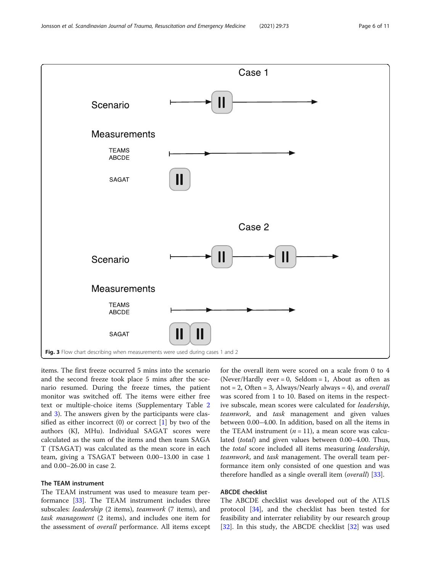<span id="page-5-0"></span>

items. The first freeze occurred 5 mins into the scenario and the second freeze took place 5 mins after the scenario resumed. During the freeze times, the patient monitor was switched off. The items were either free text or multiple-choice items (Supplementary Table [2](#page-9-0) and [3\)](#page-9-0). The answers given by the participants were classified as either incorrect  $(0)$  or correct  $[1]$  by two of the authors (KJ, MHu). Individual SAGAT scores were calculated as the sum of the items and then team SAGA T (TSAGAT) was calculated as the mean score in each team, giving a TSAGAT between 0.00–13.00 in case 1 and 0.00–26.00 in case 2.

#### The TEAM instrument

The TEAM instrument was used to measure team performance [[33\]](#page-10-0). The TEAM instrument includes three subscales: leadership (2 items), teamwork (7 items), and task management (2 items), and includes one item for the assessment of overall performance. All items except

for the overall item were scored on a scale from 0 to 4 (Never/Hardly ever = 0, Seldom = 1, About as often as not = 2, Often = 3, Always/Nearly always = 4), and *overall* was scored from 1 to 10. Based on items in the respective subscale, mean scores were calculated for leadership, teamwork, and task management and given values between 0.00–4.00. In addition, based on all the items in the TEAM instrument  $(n = 11)$ , a mean score was calculated (total) and given values between 0.00–4.00. Thus, the total score included all items measuring leadership, teamwork, and task management. The overall team performance item only consisted of one question and was therefore handled as a single overall item (*overall*) [\[33](#page-10-0)].

#### ABCDE checklist

The ABCDE checklist was developed out of the ATLS protocol [\[34](#page-10-0)], and the checklist has been tested for feasibility and interrater reliability by our research group [[32\]](#page-10-0). In this study, the ABCDE checklist [\[32](#page-10-0)] was used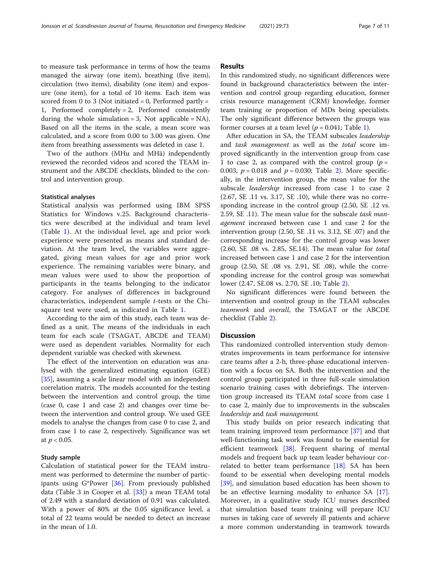to measure task performance in terms of how the teams managed the airway (one item), breathing (five item), circulation (two items), disability (one item) and exposure (one item), for a total of 10 items. Each item was scored from 0 to 3 (Not initiated = 0, Performed partly = 1, Performed completely = 2, Performed consistently during the whole simulation = 3, Not applicable =  $NA$ ). Based on all the items in the scale, a mean score was calculated, and a score from 0.00 to 3.00 was given. One item from breathing assessments was deleted in case 1.

Two of the authors (MHu and MHä) independently reviewed the recorded videos and scored the TEAM instrument and the ABCDE checklists, blinded to the control and intervention group.

#### Statistical analyses

Statistical analysis was performed using IBM SPSS Statistics for Windows v.25. Background characteristics were described at the individual and team level (Table [1\)](#page-3-0). At the individual level, age and prior work experience were presented as means and standard deviation. At the team level, the variables were aggregated, giving mean values for age and prior work experience. The remaining variables were binary, and mean values were used to show the proportion of participants in the teams belonging to the indicator category. For analyses of differences in background characteristics, independent sample t-tests or the Chisquare test were used, as indicated in Table [1](#page-3-0).

According to the aim of this study, each team was defined as a unit. The means of the individuals in each team for each scale (TSAGAT, ABCDE and TEAM) were used as dependent variables. Normality for each dependent variable was checked with skewness.

The effect of the intervention on education was analysed with the generalized estimating equation (GEE) [[35\]](#page-10-0), assuming a scale linear model with an independent correlation matrix. The models accounted for the testing between the intervention and control group, the time (case 0, case 1 and case 2) and changes over time between the intervention and control group. We used GEE models to analyse the changes from case 0 to case 2, and from case 1 to case 2, respectively. Significance was set at  $p < 0.05$ .

#### Study sample

Calculation of statistical power for the TEAM instrument was performed to determine the number of participants using G\*Power [\[36](#page-10-0)]. From previously published data (Table 3 in Cooper et al. [\[33](#page-10-0)]) a mean TEAM total of 2.49 with a standard deviation of 0.91 was calculated. With a power of 80% at the 0.05 significance level, a total of 22 teams would be needed to detect an increase in the mean of 1.0.

#### Results

In this randomized study, no significant differences were found in background characteristics between the intervention and control group regarding education, former crisis resource management (CRM) knowledge, former team training or proportion of MDs being specialists. The only significant difference between the groups was former courses at a team level ( $p = 0.041$ ; Table [1\)](#page-3-0).

After education in SA, the TEAM subscales leadership and task management as well as the total score improved significantly in the intervention group from case 1 to case 2, as compared with the control group  $(p =$ 0.003,  $p = 0.018$  and  $p = 0.030$ ; Table [2\)](#page-7-0). More specifically, in the intervention group, the mean value for the subscale *leadership* increased from case 1 to case 2 (2.67, SE .11 vs. 3.17, SE .10), while there was no corresponding increase in the control group (2.50, SE .12 vs. 2.59, SE .11). The mean value for the subscale task management increased between case 1 and case 2 for the intervention group (2.50, SE .11 vs. 3.12, SE .07) and the corresponding increase for the control group was lower (2.60, SE .08 vs. 2.85, SE.14). The mean value for total increased between case 1 and case 2 for the intervention group (2.50, SE .08 vs. 2.91, SE .08), while the corresponding increase for the control group was somewhat lower (2.47, SE.08 vs. 2.70, SE .10; Table [2\)](#page-7-0).

No significant differences were found between the intervention and control group in the TEAM subscales teamwork and overall, the TSAGAT or the ABCDE checklist (Table [2](#page-7-0)).

#### **Discussion**

This randomized controlled intervention study demonstrates improvements in team performance for intensive care teams after a 2-h, three-phase educational intervention with a focus on SA. Both the intervention and the control group participated in three full-scale simulation scenario training cases with debriefings. The intervention group increased its TEAM total score from case 1 to case 2, mainly due to improvements in the subscales leadership and task management.

This study builds on prior research indicating that team training improved team performance [[37\]](#page-10-0) and that well-functioning task work was found to be essential for efficient teamwork [\[38](#page-10-0)]. Frequent sharing of mental models and frequent back up team leader behaviour correlated to better team performance [\[18\]](#page-9-0). SA has been found to be essential when developing mental models [[39\]](#page-10-0), and simulation based education has been shown to be an effective learning modality to enhance SA [\[17](#page-9-0)]. Moreover, in a qualitative study ICU nurses described that simulation based team training will prepare ICU nurses in taking care of severely ill patients and achieve a more common understanding in teamwork towards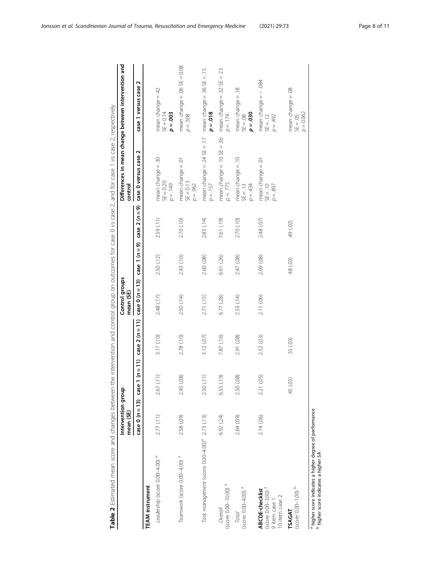<span id="page-7-0"></span>

| こり フ 。 フ フ 、 フ 、 ハ : : ハ : フ : フ : フ : フ : フ : フ : : : フ : : : : フ : : : : : : : : l   ♪ : : : : : : : | Intervention group<br>mean (SE) |              |                                     | Control groups<br>mean (SE) |               |                | √_フ ヘ ・コンフィフィーフ ー フ フィアフノ ヽ ヘ ー  フィアフ 、 ン! バーブ フィアフフ ヽ ヘ フ フィアフ 、 フ ・ ハ!! ノフィフス 、 」 フ : フ : フ : フ : ハ : ハ : フ : コ : フ : ハ : ハ : ハ :<br>control | Differences in mean change between intervention and |
|--------------------------------------------------------------------------------------------------------|---------------------------------|--------------|-------------------------------------|-----------------------------|---------------|----------------|------------------------------------------------------------------------------------------------------------------------------------------------|-----------------------------------------------------|
|                                                                                                        | $case 0 (n = 13)$               |              | case 1 $(n = 11)$ case 2 $(n = 11)$ | $case 0 (n = 13)$           | case $1(n=9)$ | $case 2 (n=9)$ | case 0 versus case 2                                                                                                                           | N<br>case 1 versus case                             |
| <b>TEAM</b> instrument                                                                                 |                                 |              |                                     |                             |               |                |                                                                                                                                                |                                                     |
| Leadership (score 0.00-4.00) <sup>a</sup>                                                              | 2.77 (.11)                      | 2.67 (.11)   | 3.17 (.10)                          | 2.48 (.17)                  | 2.50(12)      | 2.59 (.11)     | mean change = .30<br>$SE = 0.20$<br>$\rho = .149$                                                                                              | mean change = $.42$<br>$SE = 0.14$<br>$p = 0.003$   |
| Teamwork (score 0.00-4.00) <sup>a</sup>                                                                | 2.58 (.09)                      | 2.45 (.08)   | 2.78 (.10)                          | 2.50 (.14)                  | 2.43 (.10)    | 2.70 (.10)     | mean change = .01<br>$SE = 0.13$<br>$p = .962$                                                                                                 | mean change = .06 $SE = 0.08$<br>$p = .508$         |
| Task management (score 0.00-4.00) <sup>ª</sup> 2.73 (.13)                                              |                                 | 2.50 (.11)   | 3.12 (.07)                          | 2.71 (.15)                  | 2.60 (.08)    | 2.85 (.14)     | mean change = $.24$ SE = $.17$<br>$p = .157$                                                                                                   | mean change = $.36$ SE = $.15$<br>$p = 018$         |
| $(score 0.00 - 10.00)$ <sup>a</sup><br>Overall                                                         | 6.92 (.24)                      | 6.55 (.19)   | 7.87 (.16)                          | 6.77 (.28)                  | 6.61 (.26)    | 7.61 (.19)     | mean change $= .10$ SE $= .36$<br>$p = 775$                                                                                                    | mean change = $.32$ SE = $.23$<br>$p = 174$         |
| $(score 0.00 - 4.00)$ <sup>a</sup><br><b>Total</b>                                                     | 2.64 (.09)                      | 2.50 (.08)   | 2.91 (.08)                          | 2.53 (.14)                  | 2.47 (.08)    | 2.70 (.10)     | mean change $= .10$<br>$p = 434$<br>$SE = .13$                                                                                                 | mean change $= .18$<br>$\rho = 0.30$<br>$SE = 0.08$ |
| $(score 0.00 - 3.00)$ <sup>a</sup><br>ABCDE-checklist<br>10 item case 2<br>9 item case                 | 2.14 (.06)                      | (05)<br>2.21 | 2.52 (.03)                          | 2.11 (.06)                  | 2.09 (.08)    | 2.48 (.07)     | mean change = .01<br>$01 = 35$<br>$\rho = .897$                                                                                                | mean change = – .084<br>SE = .12<br>$p = .492$      |
| $(score 0.00 - 1.00)$<br>TSAGAT                                                                        |                                 | (03)<br>45   | .55 (.03)                           |                             | 48 (.03)      | 49 (.02)       |                                                                                                                                                | mean change = .08<br>$SE = .05$<br>$p = 0.062$      |
| a higher score indicates a higher degree of performance                                                |                                 |              |                                     |                             |               |                |                                                                                                                                                |                                                     |

higher score indicates a higher SA

Table 2 Estimated mean score and changes between the intervention and control group on outcomes for case 2, and for case 1 vs case 2, respectively Table 2 Estimated mean score and changes between the intervention and control group on outcomes for case 2, and for case 1 vs case 2, respectively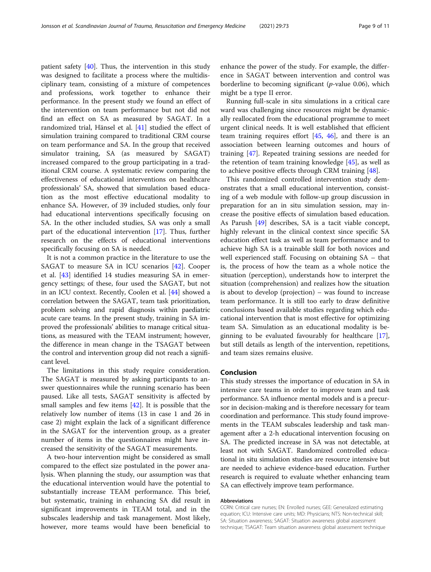patient safety [[40](#page-10-0)]. Thus, the intervention in this study was designed to facilitate a process where the multidisciplinary team, consisting of a mixture of competences and professions, work together to enhance their performance. In the present study we found an effect of the intervention on team performance but not did not find an effect on SA as measured by SAGAT. In a randomized trial, Hänsel et al. [\[41\]](#page-10-0) studied the effect of simulation training compared to traditional CRM course on team performance and SA. In the group that received simulator training, SA (as measured by SAGAT) increased compared to the group participating in a traditional CRM course. A systematic review comparing the effectiveness of educational interventions on healthcare professionals' SA, showed that simulation based education as the most effective educational modality to enhance SA. However, of 39 included studies, only four had educational interventions specifically focusing on SA. In the other included studies, SA was only a small part of the educational intervention [\[17](#page-9-0)]. Thus, further research on the effects of educational interventions specifically focusing on SA is needed.

It is not a common practice in the literature to use the SAGAT to measure SA in ICU scenarios [[42\]](#page-10-0). Cooper et al. [[43\]](#page-10-0) identified 14 studies measuring SA in emergency settings; of these, four used the SAGAT, but not in an ICU context. Recently, Coolen et al. [[44\]](#page-10-0) showed a correlation between the SAGAT, team task prioritization, problem solving and rapid diagnosis within paediatric acute care teams. In the present study, training in SA improved the professionals' abilities to manage critical situations, as measured with the TEAM instrument; however, the difference in mean change in the TSAGAT between the control and intervention group did not reach a significant level.

The limitations in this study require consideration. The SAGAT is measured by asking participants to answer questionnaires while the running scenario has been paused. Like all tests, SAGAT sensitivity is affected by small samples and few items [[42\]](#page-10-0). It is possible that the relatively low number of items (13 in case 1 and 26 in case 2) might explain the lack of a significant difference in the SAGAT for the intervention group, as a greater number of items in the questionnaires might have increased the sensitivity of the SAGAT measurements.

A two-hour intervention might be considered as small compared to the effect size postulated in the power analysis. When planning the study, our assumption was that the educational intervention would have the potential to substantially increase TEAM performance. This brief, but systematic, training in enhancing SA did result in significant improvements in TEAM total, and in the subscales leadership and task management. Most likely, however, more teams would have been beneficial to enhance the power of the study. For example, the difference in SAGAT between intervention and control was borderline to becoming significant  $(p$ -value 0.06), which might be a type II error.

Running full-scale in situ simulations in a critical care ward was challenging since resources might be dynamically reallocated from the educational programme to meet urgent clinical needs. It is well established that efficient team training requires effort  $[45, 46]$  $[45, 46]$  $[45, 46]$  $[45, 46]$  $[45, 46]$ , and there is an association between learning outcomes and hours of training [[47\]](#page-10-0). Repeated training sessions are needed for the retention of team training knowledge  $[45]$ , as well as to achieve positive effects through CRM training [\[48\]](#page-10-0).

This randomized controlled intervention study demonstrates that a small educational intervention, consisting of a web module with follow-up group discussion in preparation for an in situ simulation session, may increase the positive effects of simulation based education. As Parush [[49\]](#page-10-0) describes, SA is a tacit viable concept, highly relevant in the clinical context since specific SA education effect task as well as team performance and to achieve high SA is a trainable skill for both novices and well experienced staff. Focusing on obtaining SA – that is, the process of how the team as a whole notice the situation (perception), understands how to interpret the situation (comprehension) and realizes how the situation is about to develop (projection) – was found to increase team performance. It is still too early to draw definitive conclusions based available studies regarding which educational intervention that is most effective for optimizing team SA. Simulation as an educational modality is beginning to be evaluated favourably for healthcare [\[17](#page-9-0)], but still details as length of the intervention, repetitions, and team sizes remains elusive.

#### Conclusion

This study stresses the importance of education in SA in intensive care teams in order to improve team and task performance. SA influence mental models and is a precursor in decision-making and is therefore necessary for team coordination and performance. This study found improvements in the TEAM subscales leadership and task management after a 2-h educational intervention focusing on SA. The predicted increase in SA was not detectable, at least not with SAGAT. Randomized controlled educational in situ simulation studies are resource intensive but are needed to achieve evidence-based education. Further research is required to evaluate whether enhancing team SA can effectively improve team performance.

#### Abbreviations

CCRN: Critical care nurses; EN: Enrolled nurses; GEE: Generalized estimating equation; ICU: Intensive care units; MD: Physicians; NTS: Non-technical skill; SA: Situation awareness; SAGAT: Situation awareness global assessment technique; TSAGAT: Team situation awareness global assessment technique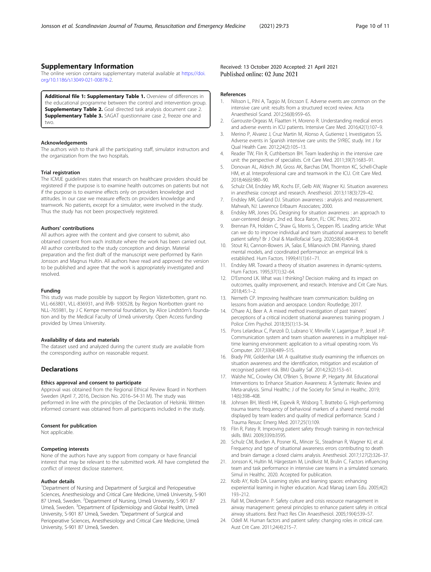#### <span id="page-9-0"></span>Supplementary Information

The online version contains supplementary material available at [https://doi.](https://doi.org/10.1186/s13049-021-00878-2) [org/10.1186/s13049-021-00878-2.](https://doi.org/10.1186/s13049-021-00878-2)

Additional file 1: Supplementary Table 1. Overview of differences in the educational programme between the control and intervention group. Supplementary Table 2. Goal directed task analysis document case 2. **Supplementary Table 3.** SAGAT questionnaire case 2, freeze one and two.

#### Acknowledgements

The authors wish to thank all the participating staff, simulator instructors and the organization from the two hospitals.

#### Trial registration

The ICMJE guidelines states that research on healthcare providers should be registered if the purpose is to examine health outcomes on patients but not if the purpose is to examine effects only on providers knowledge and attitudes. In our case we measure effects on providers knowledge and teamwork. No patients, except for a simulator, were involved in the study. Thus the study has not been prospectively registered.

#### Authors' contributions

All authors agree with the content and give consent to submit, also obtained consent from each institute where the work has been carried out. All author contributed to the study conception and design. Material preparation and the first draft of the manuscript were performed by Karin Jonsson and Magnus Hultin. All authors have read and approved the version to be published and agree that the work is appropriately investigated and resolved.

#### Funding

This study was made possible by support by Region Västerbotten, grant no. VLL-663801, VLL-836931, and RVB- 930528, by Region Norrbotten grant no NLL-765981, by J C Kempe memorial foundation, by Alice Lindstöm's foundation and by the Medical Faculty of Umeå university. Open Access funding provided by Umea University.

#### Availability of data and materials

The dataset used and analyzed during the current study are available from the corresponding author on reasonable request.

#### Declarations

#### Ethics approval and consent to participate

Approval was obtained from the Regional Ethical Review Board in Northern Sweden (April 7, 2016, Decision No. 2016–54-31 M). The study was performed in line with the principles of the Declaration of Helsinki. Written informed consent was obtained from all participants included in the study.

#### Consent for publication

Not applicable.

#### Competing interests

None of the authors have any support from company or have financial interest that may be relevant to the submitted work. All have completed the conflict of interest disclose statement.

#### Author details

<sup>1</sup>Department of Nursing and Department of Surgical and Perioperative Sciences, Anesthesiology and Critical Care Medicine, Umeå University, S-901 87 Umeå, Sweden. <sup>2</sup>Department of Nursing, Umeå University, S-901 87 Umeå, Sweden. <sup>3</sup>Department of Epidemiology and Global Health, Umeå University, S-901 87 Umeå, Sweden. <sup>4</sup>Department of Surgical and Perioperative Sciences, Anesthesiology and Critical Care Medicine, Umeå University, S-901 87 Umeå, Sweden.

Received: 13 October 2020 Accepted: 21 April 2021 Published online: 02 June 2021

#### References

- 1. Nilsson L, Pihl A, Tagsjo M, Ericsson E. Adverse events are common on the intensive care unit: results from a structured record review. Acta Anaesthesiol Scand. 2012;56(8):959–65.
- 2. Garrouste-Orgeas M, Flaatten H, Moreno R. Understanding medical errors and adverse events in ICU patients. Intensive Care Med. 2016;42(1):107–9.
- 3. Merino P, Alvarez J, Cruz Martin M, Alonso A, Gutierrez I, Investigators SS. Adverse events in Spanish intensive care units: the SYREC study. Int J for Qual Health Care. 2012;24(2):105–13.
- 4. Reader TW, Flin R, Cuthbertson BH. Team leadership in the intensive care unit: the perspective of specialists. Crit Care Med. 2011;39(7):1683–91.
- 5. Donovan AL, Aldrich JM, Gross AK, Barchas DM, Thornton KC, Schell-Chaple HM, et al. Interprofessional care and teamwork in the ICU. Crit Care Med. 2018;46(6):980–90.
- 6. Schulz CM, Endsley MR, Kochs EF, Gelb AW, Wagner KJ. Situation awareness in anesthesia: concept and research. Anesthesiol. 2013;118(3):729–42.
- 7. Endsley MR, Garland DJ. Situation awareness : analysis and measurement. Mahwah, NJ: Lawrence Erlbaum Associates; 2000.
- 8. Endsley MR, Jones DG. Designing for situation awareness : an approach to user-centered design. 2nd ed. Boca Raton, FL: CRC Press; 2012.
- 9. Brennan PA, Holden C, Shaw G, Morris S, Oeppen RS. Leading article: What can we do to improve individual and team situational awareness to benefit patient safety? Br J Oral & Maxillofacial Surg. 2020;58(4):404–8.
- 10. Stout RJ, Cannon-Bowers JA, Salas E, Milanovich DM. Planning, shared mental models, and coordinated performance: an empirical link is established. Hum Factors. 1999;41(1):61–71.
- 11. Endsley MR. Toward a theory of situation awareness in dynamic-systems. Hum Factors. 1995;37(1):32–64.
- 12. D'Esmond LK. What was I thinking? Decision making and its impact on outcomes, quality improvement, and research. Intensive and Crit Care Nurs. 2018;45:1–2.
- 13. Nemeth CP. Improving healthcare team communication: building on lessons from aviation and aerospace. London: Routledge; 2017.
- 14. O'hare AJ, Beer A. A mixed method investigation of past trainees' perceptions of a critical incident situational awareness training program. J Police Crim Psychol. 2018;35(1):13–34.
- 15. Pons Lelardeux C, Panzoli D, Lubrano V, Minville V, Lagarrigue P, Jessel J-P. Communication system and team situation awareness in a multiplayer realtime learning environment: application to a virtual operating room. Vis Computer. 2017;33(4):489–515.
- 16. Brady PW, Goldenhar LM. A qualitative study examining the influences on situation awareness and the identification, mitigation and escalation of recognised patient risk. BMJ Quality Saf. 2014;23(2):153–61.
- 17. Walshe NC, Crowley CM, O'Brien S, Browne JP, Hegarty JM. Educational Interventions to Enhance Situation Awareness: A Systematic Review and Meta-analysis. Simul Healthc: J of the Society for Simul in Healthc. 2019; 14(6):398–408.
- 18. Johnsen BH, Westli HK, Espevik R, Wisborg T, Brattebo G. High-performing trauma teams: frequency of behavioral markers of a shared mental model displayed by team leaders and quality of medical performance. Scand J Trauma Resusc Emerg Med. 2017;25(1):109.
- 19. Flin R, Patey R. Improving patient safety through training in non-technical skills. BMJ. 2009;339:b3595.
- 20. Schulz CM, Burden A, Posner KL, Mincer SL, Steadman R, Wagner KJ, et al. Frequency and type of situational awareness errors contributing to death and brain damage: a closed claims analysis. Anesthesiol. 2017;127(2):326–37.
- 21. Jonsson K, Hultin M, Härgestam M, Lindkvist M, Brulin C. Factors influencing team and task performance in intensive care teams in a simulated scenario. Simul in Healthc. 2020. Accepted for publication.
- 22. Kolb AY, Kolb DA. Learning styles and learning spaces: enhancing experiential learning in higher education. Acad Manag Learn Edu. 2005;4(2): 193–212.
- 23. Rall M, Dieckmann P. Safety culture and crisis resource management in airway management: general principles to enhance patient safety in critical airway situations. Best Pract Res Clin Anaesthesiol. 2005;19(4):539–57.
- 24. Odell M. Human factors and patient safety: changing roles in critical care. Aust Crit Care. 2011;24(4):215–7.